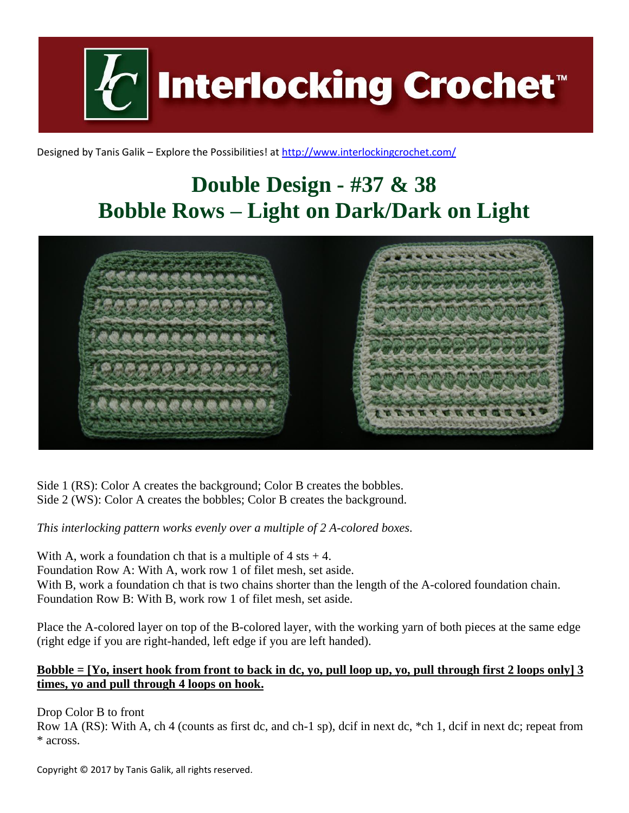**Interlocking Crochet** 

Designed by Tanis Galik – Explore the Possibilities! a[t http://www.interlockingcrochet.com/](http://www.interlockingcrochet.com/)

## **Double Design - #37 & 38 Bobble Rows – Light on Dark/Dark on Light**



Side 1 (RS): Color A creates the background; Color B creates the bobbles. Side 2 (WS): Color A creates the bobbles; Color B creates the background.

*This interlocking pattern works evenly over a multiple of 2 A-colored boxes.*

With A, work a foundation ch that is a multiple of  $4$  sts  $+4$ . Foundation Row A: With A, work row 1 of filet mesh, set aside. With B, work a foundation ch that is two chains shorter than the length of the A-colored foundation chain. Foundation Row B: With B, work row 1 of filet mesh, set aside.

Place the A-colored layer on top of the B-colored layer, with the working yarn of both pieces at the same edge (right edge if you are right-handed, left edge if you are left handed).

## **Bobble = [Yo, insert hook from front to back in dc, yo, pull loop up, yo, pull through first 2 loops only] 3 times, yo and pull through 4 loops on hook.**

Drop Color B to front

Row 1A (RS): With A, ch 4 (counts as first dc, and ch-1 sp), dcif in next dc, \*ch 1, dcif in next dc; repeat from \* across.

Copyright © 2017 by Tanis Galik, all rights reserved.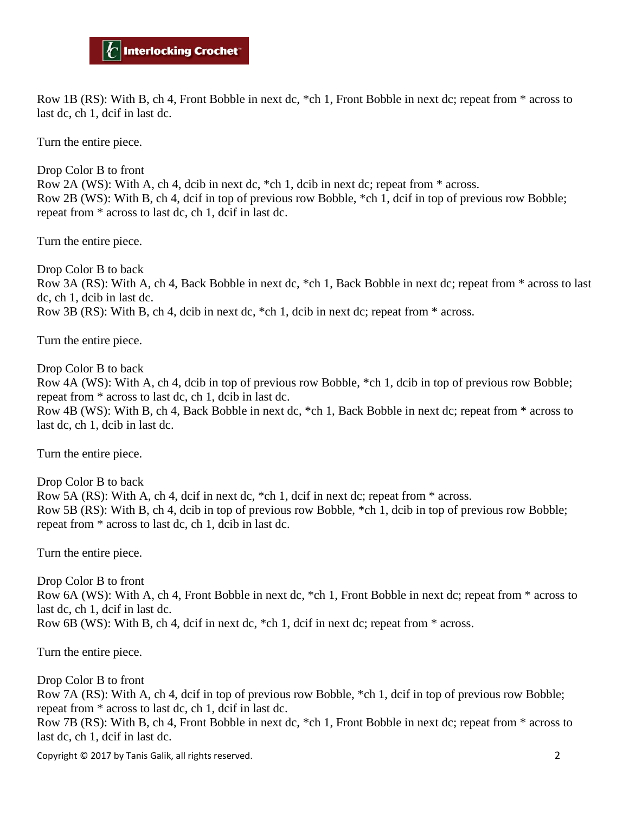Row 1B (RS): With B, ch 4, Front Bobble in next dc, \*ch 1, Front Bobble in next dc; repeat from \* across to last dc, ch 1, dcif in last dc.

Turn the entire piece.

Drop Color B to front Row 2A (WS): With A, ch 4, dcib in next dc, \*ch 1, dcib in next dc; repeat from \* across. Row 2B (WS): With B, ch 4, dcif in top of previous row Bobble, \*ch 1, dcif in top of previous row Bobble; repeat from \* across to last dc, ch 1, dcif in last dc.

Turn the entire piece.

Drop Color B to back Row 3A (RS): With A, ch 4, Back Bobble in next dc, \*ch 1, Back Bobble in next dc; repeat from \* across to last dc, ch 1, dcib in last dc. Row 3B (RS): With B, ch 4, dcib in next dc, \*ch 1, dcib in next dc; repeat from \* across.

Turn the entire piece.

Drop Color B to back

Row 4A (WS): With A, ch 4, dcib in top of previous row Bobble, \*ch 1, dcib in top of previous row Bobble; repeat from \* across to last dc, ch 1, dcib in last dc.

Row 4B (WS): With B, ch 4, Back Bobble in next dc, \*ch 1, Back Bobble in next dc; repeat from \* across to last dc, ch 1, dcib in last dc.

Turn the entire piece.

Drop Color B to back Row 5A (RS): With A, ch 4, dcif in next dc, \*ch 1, dcif in next dc; repeat from \* across. Row 5B (RS): With B, ch 4, dcib in top of previous row Bobble, \*ch 1, dcib in top of previous row Bobble; repeat from \* across to last dc, ch 1, dcib in last dc.

Turn the entire piece.

Drop Color B to front Row 6A (WS): With A, ch 4, Front Bobble in next dc, \*ch 1, Front Bobble in next dc; repeat from \* across to last dc, ch 1, dcif in last dc. Row 6B (WS): With B, ch 4, dcif in next dc, \*ch 1, dcif in next dc; repeat from \* across.

Turn the entire piece.

Drop Color B to front Row 7A (RS): With A, ch 4, dcif in top of previous row Bobble, \*ch 1, dcif in top of previous row Bobble; repeat from \* across to last dc, ch 1, dcif in last dc. Row 7B (RS): With B, ch 4, Front Bobble in next dc, \*ch 1, Front Bobble in next dc; repeat from \* across to last dc, ch 1, dcif in last dc.

Copyright © 2017 by Tanis Galik, all rights reserved. 2